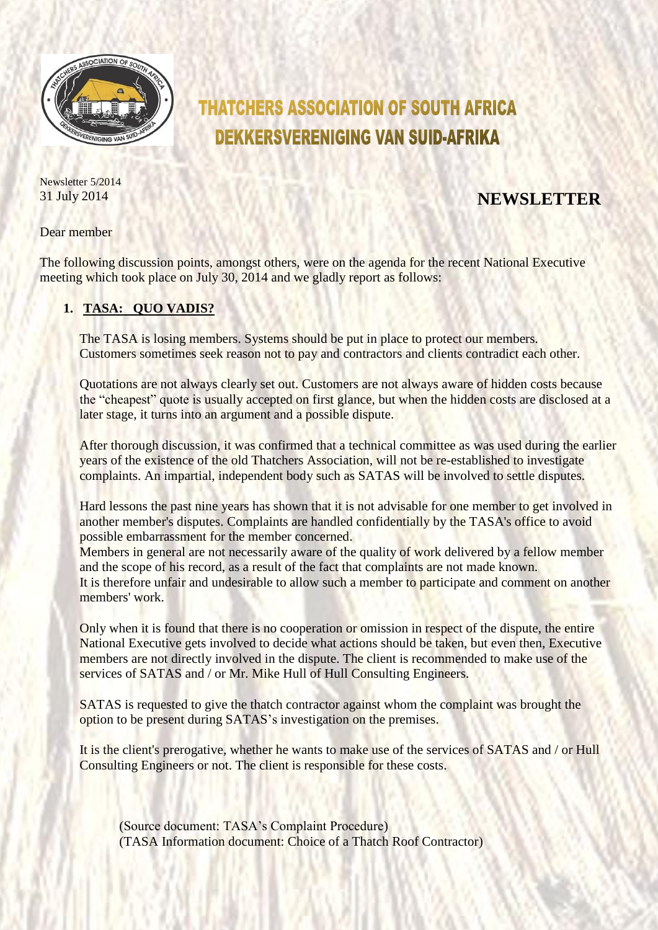

# **THATCHERS ASSOCIATION OF SOUTH AFRICA DEKKERSVERENIGING VAN SUID-AFRIKA**

Newsletter 5/2014

## 31 July 2014 **NEWSLETTER**

Dear member

The following discussion points, amongst others, were on the agenda for the recent National Executive meeting which took place on July 30, 2014 and we gladly report as follows:

## **1. TASA: QUO VADIS?**

The TASA is losing members. Systems should be put in place to protect our members. Customers sometimes seek reason not to pay and contractors and clients contradict each other.

Quotations are not always clearly set out. Customers are not always aware of hidden costs because the "cheapest" quote is usually accepted on first glance, but when the hidden costs are disclosed at a later stage, it turns into an argument and a possible dispute.

After thorough discussion, it was confirmed that a technical committee as was used during the earlier years of the existence of the old Thatchers Association, will not be re-established to investigate complaints. An impartial, independent body such as SATAS will be involved to settle disputes.

Hard lessons the past nine years has shown that it is not advisable for one member to get involved in another member's disputes. Complaints are handled confidentially by the TASA's office to avoid possible embarrassment for the member concerned.

Members in general are not necessarily aware of the quality of work delivered by a fellow member and the scope of his record, as a result of the fact that complaints are not made known. It is therefore unfair and undesirable to allow such a member to participate and comment on another members' work.

Only when it is found that there is no cooperation or omission in respect of the dispute, the entire National Executive gets involved to decide what actions should be taken, but even then, Executive members are not directly involved in the dispute. The client is recommended to make use of the services of SATAS and / or Mr. Mike Hull of Hull Consulting Engineers.

SATAS is requested to give the thatch contractor against whom the complaint was brought the option to be present during SATAS's investigation on the premises.

It is the client's prerogative, whether he wants to make use of the services of SATAS and / or Hull Consulting Engineers or not. The client is responsible for these costs.

(Source document: TASA's Complaint Procedure) (TASA Information document: Choice of a Thatch Roof Contractor)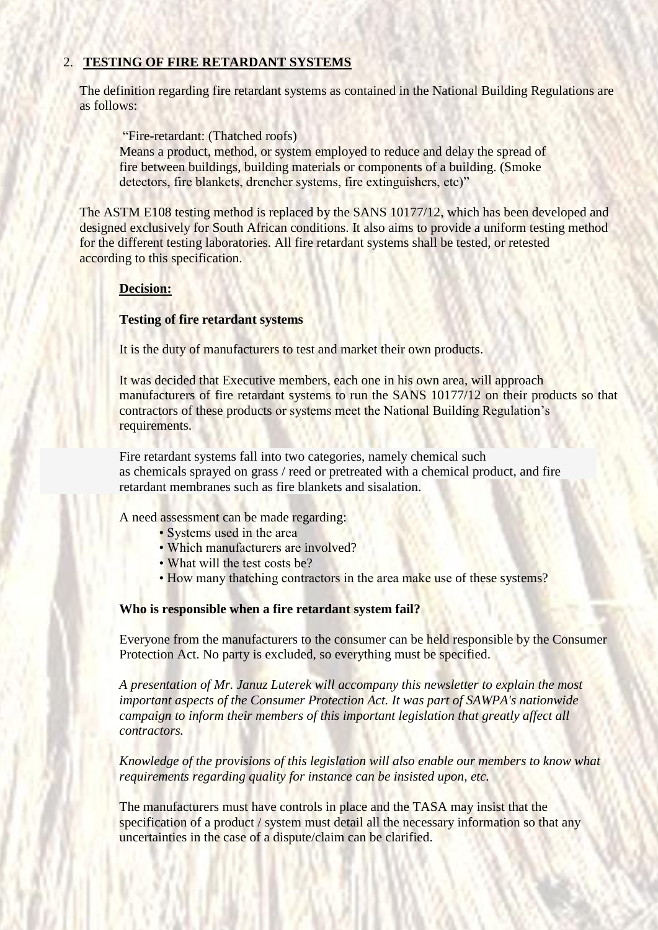## 2. **TESTING OF FIRE RETARDANT SYSTEMS**

The definition regarding fire retardant systems as contained in the National Building Regulations are as follows:

"Fire-retardant: (Thatched roofs) Means a product, method, or system employed to reduce and delay the spread of fire between buildings, building materials or components of a building. (Smoke detectors, fire blankets, drencher systems, fire extinguishers, etc)"

The ASTM E108 testing method is replaced by the SANS 10177/12, which has been developed and designed exclusively for South African conditions. It also aims to provide a uniform testing method for the different testing laboratories. All fire retardant systems shall be tested, or retested according to this specification.

## **Decision:**

## **Testing of fire retardant systems**

It is the duty of manufacturers to test and market their own products.

It was decided that Executive members, each one in his own area, will approach manufacturers of fire retardant systems to run the SANS 10177/12 on their products so that contractors of these products or systems meet the National Building Regulation's requirements.

Fire retardant systems fall into two categories, namely chemical such as chemicals sprayed on grass / reed or pretreated with a chemical product, and fire retardant membranes such as fire blankets and sisalation.

A need assessment can be made regarding:

- Systems used in the area
- Which manufacturers are involved?
- What will the test costs be?
- How many thatching contractors in the area make use of these systems?

#### **Who is responsible when a fire retardant system fail?**

Everyone from the manufacturers to the consumer can be held responsible by the Consumer Protection Act. No party is excluded, so everything must be specified.

*A presentation of Mr. Januz Luterek will accompany this newsletter to explain the most important aspects of the Consumer Protection Act. It was part of SAWPA's nationwide campaign to inform their members of this important legislation that greatly affect all contractors.*

*Knowledge of the provisions of this legislation will also enable our members to know what requirements regarding quality for instance can be insisted upon, etc.*

The manufacturers must have controls in place and the TASA may insist that the specification of a product / system must detail all the necessary information so that any uncertainties in the case of a dispute/claim can be clarified.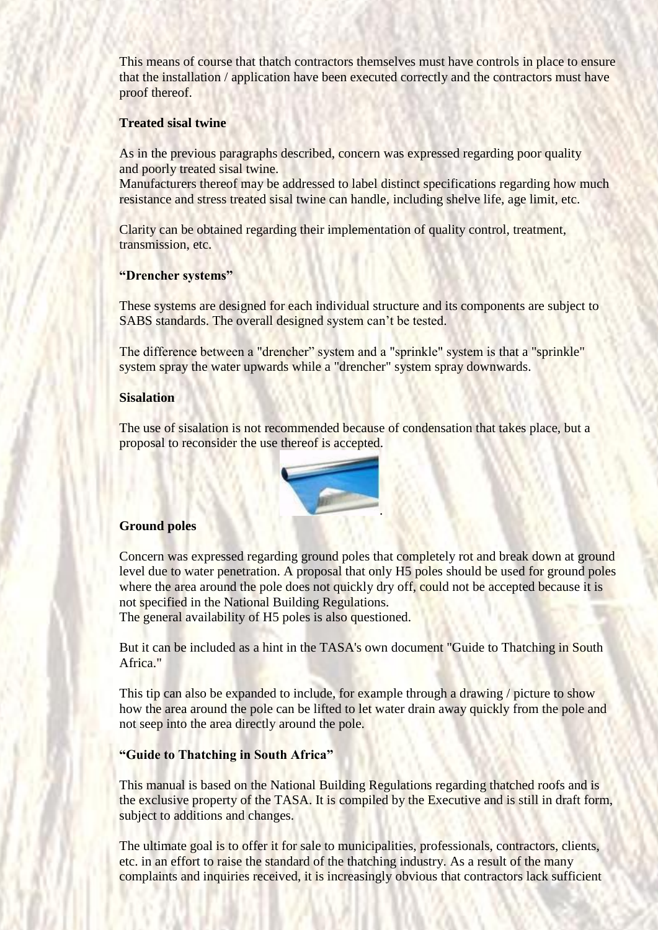This means of course that thatch contractors themselves must have controls in place to ensure that the installation / application have been executed correctly and the contractors must have proof thereof.

#### **Treated sisal twine**

As in the previous paragraphs described, concern was expressed regarding poor quality and poorly treated sisal twine.

Manufacturers thereof may be addressed to label distinct specifications regarding how much resistance and stress treated sisal twine can handle, including shelve life, age limit, etc.

Clarity can be obtained regarding their implementation of quality control, treatment, transmission, etc.

#### **"Drencher systems"**

These systems are designed for each individual structure and its components are subject to SABS standards. The overall designed system can't be tested.

The difference between a "drencher" system and a "sprinkle" system is that a "sprinkle" system spray the water upwards while a "drencher" system spray downwards.

#### **Sisalation**

The use of sisalation is not recommended because of condensation that takes place, but a proposal to reconsider the use thereof is accepted.



#### **Ground poles**

Concern was expressed regarding ground poles that completely rot and break down at ground level due to water penetration. A proposal that only H5 poles should be used for ground poles where the area around the pole does not quickly dry off, could not be accepted because it is not specified in the National Building Regulations.

The general availability of H5 poles is also questioned.

But it can be included as a hint in the TASA's own document "Guide to Thatching in South Africa."

This tip can also be expanded to include, for example through a drawing / picture to show how the area around the pole can be lifted to let water drain away quickly from the pole and not seep into the area directly around the pole.

#### **"Guide to Thatching in South Africa"**

This manual is based on the National Building Regulations regarding thatched roofs and is the exclusive property of the TASA. It is compiled by the Executive and is still in draft form, subject to additions and changes.

The ultimate goal is to offer it for sale to municipalities, professionals, contractors, clients, etc. in an effort to raise the standard of the thatching industry. As a result of the many complaints and inquiries received, it is increasingly obvious that contractors lack sufficient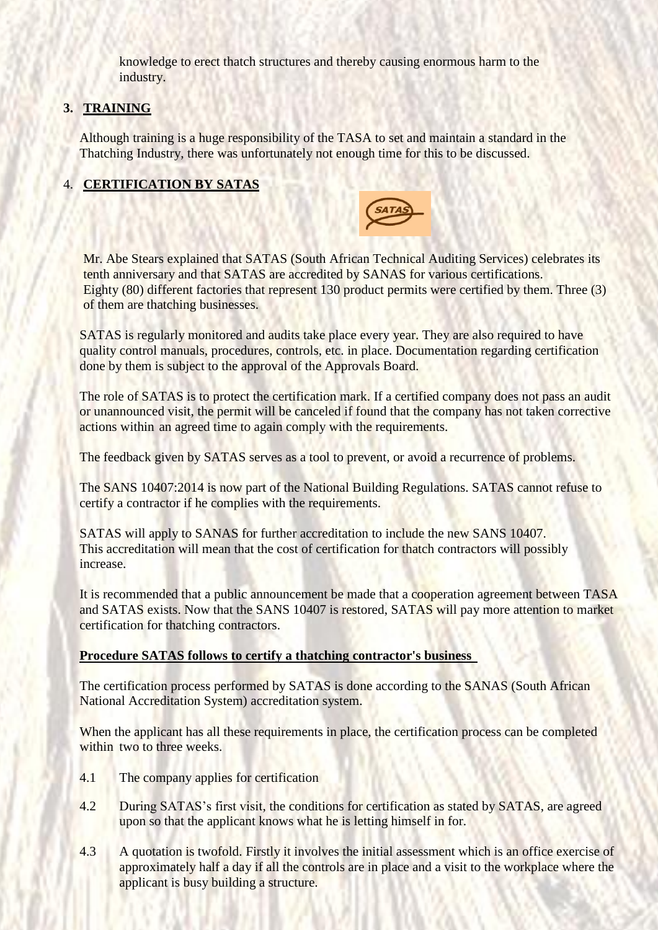knowledge to erect thatch structures and thereby causing enormous harm to the industry.

## **3. TRAINING**

Although training is a huge responsibility of the TASA to set and maintain a standard in the Thatching Industry, there was unfortunately not enough time for this to be discussed.

## 4. **CERTIFICATION BY SATAS**



Mr. Abe Stears explained that SATAS (South African Technical Auditing Services) celebrates its tenth anniversary and that SATAS are accredited by SANAS for various certifications. Eighty (80) different factories that represent 130 product permits were certified by them. Three (3) of them are thatching businesses.

SATAS is regularly monitored and audits take place every year. They are also required to have quality control manuals, procedures, controls, etc. in place. Documentation regarding certification done by them is subject to the approval of the Approvals Board.

The role of SATAS is to protect the certification mark. If a certified company does not pass an audit or unannounced visit, the permit will be canceled if found that the company has not taken corrective actions within an agreed time to again comply with the requirements.

The feedback given by SATAS serves as a tool to prevent, or avoid a recurrence of problems.

The SANS 10407:2014 is now part of the National Building Regulations. SATAS cannot refuse to certify a contractor if he complies with the requirements.

SATAS will apply to SANAS for further accreditation to include the new SANS 10407. This accreditation will mean that the cost of certification for thatch contractors will possibly increase.

It is recommended that a public announcement be made that a cooperation agreement between TASA and SATAS exists. Now that the SANS 10407 is restored, SATAS will pay more attention to market certification for thatching contractors.

#### **Procedure SATAS follows to certify a thatching contractor's business**

The certification process performed by SATAS is done according to the SANAS (South African National Accreditation System) accreditation system.

When the applicant has all these requirements in place, the certification process can be completed within two to three weeks.

- 4.1 The company applies for certification
- 4.2 During SATAS's first visit, the conditions for certification as stated by SATAS, are agreed upon so that the applicant knows what he is letting himself in for.
- 4.3 A quotation is twofold. Firstly it involves the initial assessment which is an office exercise of approximately half a day if all the controls are in place and a visit to the workplace where the applicant is busy building a structure.